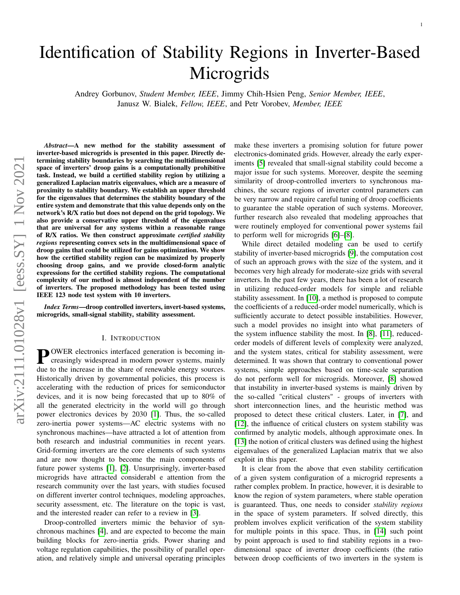# Identification of Stability Regions in Inverter-Based **Microgrids**

Andrey Gorbunov, *Student Member, IEEE*, Jimmy Chih-Hsien Peng, *Senior Member, IEEE*, Janusz W. Bialek, *Fellow, IEEE*, and Petr Vorobev, *Member, IEEE*

*Abstract*—A new method for the stability assessment of inverter-based microgrids is presented in this paper. Directly determining stability boundaries by searching the multidimensional space of inverters' droop gains is a computationally prohibitive task. Instead, we build a certified stability region by utilizing a generalized Laplacian matrix eigenvalues, which are a measure of proximity to stability boundary. We establish an upper threshold for the eigenvalues that determines the stability boundary of the entire system and demonstrate that this value depends only on the network's R/X ratio but does not depend on the grid topology. We also provide a conservative upper threshold of the eigenvalues that are universal for any systems within a reasonable range of R/X ratios. We then construct approximate *certified stability regions* representing convex sets in the multidimensional space of droop gains that could be utilized for gains optimization. We show how the certified stability region can be maximized by properly choosing droop gains, and we provide closed-form analytic expressions for the certified stability regions. The computational complexity of our method is almost independent of the number of inverters. The proposed methodology has been tested using IEEE 123 node test system with 10 inverters.

*Index Terms*—droop controlled inverters, invert-based systems, microgrids, small-signal stability, stability assessment.

# I. INTRODUCTION

**POWER** electronics interfaced generation is becoming in-<br>creasingly widespread in modern power systems, mainly creasingly widespread in modern power systems, mainly due to the increase in the share of renewable energy sources. Historically driven by governmental policies, this process is accelerating with the reduction of prices for semiconductor devices, and it is now being forecasted that up to 80% of all the generated electricity in the world will go through power electronics devices by 2030 [\[1\]](#page-8-0). Thus, the so-called zero-inertia power systems—AC electric systems with no synchronous machines—have attracted a lot of attention from both research and industrial communities in recent years. Grid-forming inverters are the core elements of such systems and are now thought to become the main components of future power systems [\[1\]](#page-8-0), [\[2\]](#page-9-0). Unsurprisingly, inverter-based microgrids have attracted considerabl e attention from the research community over the last years, with studies focused on different inverter control techniques, modeling approaches, security assessment, etc. The literature on the topic is vast, and the interested reader can refer to a review in [\[3\]](#page-9-1).

Droop-controlled inverters mimic the behavior of synchronous machines [\[4\]](#page-9-2), and are expected to become the main building blocks for zero-inertia grids. Power sharing and voltage regulation capabilities, the possibility of parallel operation, and relatively simple and universal operating principles make these inverters a promising solution for future power electronics-dominated grids. However, already the early experiments [\[5\]](#page-9-3) revealed that small-signal stability could become a major issue for such systems. Moreover, despite the seeming similarity of droop-controlled inverters to synchronous machines, the secure regions of inverter control parameters can be very narrow and require careful tuning of droop coefficients to guarantee the stable operation of such systems. Moreover, further research also revealed that modeling approaches that were routinely employed for conventional power systems fail to perform well for microgrids [\[6\]](#page-9-4)–[\[8\]](#page-9-5).

1

While direct detailed modeling can be used to certify stability of inverter-based microgrids [\[9\]](#page-9-6), the computation cost of such an approach grows with the size of the system, and it becomes very high already for moderate-size grids with several inverters. In the past few years, there has been a lot of research in utilizing reduced-order models for simple and reliable stability assessment. In [\[10\]](#page-9-7), a method is proposed to compute the coefficients of a reduced-order model numerically, which is sufficiently accurate to detect possible instabilities. However, such a model provides no insight into what parameters of the system influence stability the most. In [\[8\]](#page-9-5), [\[11\]](#page-9-8), reducedorder models of different levels of complexity were analyzed, and the system states, critical for stability assessment, were determined. It was shown that contrary to conventional power systems, simple approaches based on time-scale separation do not perform well for microgrids. Moreover, [\[8\]](#page-9-5) showed that instability in inverter-based systems is mainly driven by the so-called "critical clusters" - groups of inverters with short interconnection lines, and the heuristic method was proposed to detect these critical clusters. Later, in [\[7\]](#page-9-9), and [\[12\]](#page-9-10), the influence of critical clusters on system stability was confirmed by analytic models, although approximate ones. In [\[13\]](#page-9-11) the notion of critical clusters was defined using the highest eigenvalues of the generalized Laplacian matrix that we also exploit in this paper.

It is clear from the above that even stability certification of a given system configuration of a microgrid represents a rather complex problem. In practice, however, it is desirable to know the region of system parameters, where stable operation is guaranteed. Thus, one needs to consider *stability regions* in the space of system parameters. If solved directly, this problem involves explicit verification of the system stability for multiple points in this space. Thus, in [\[14\]](#page-9-12) such point by point approach is used to find stability regions in a twodimensional space of inverter droop coefficients (the ratio between droop coefficients of two inverters in the system is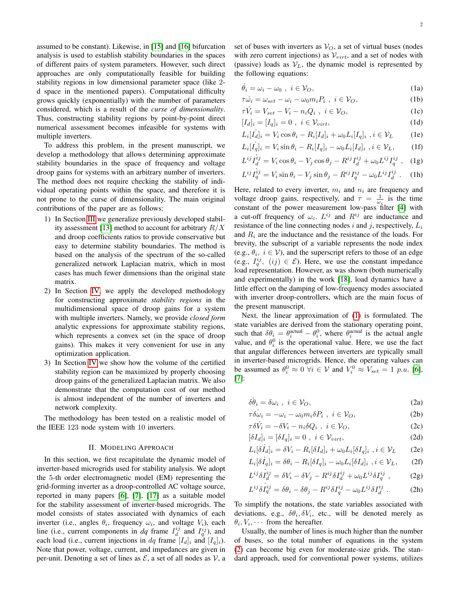assumed to be constant). Likewise, in [\[15\]](#page-9-13) and [\[16\]](#page-9-14) bifurcation analysis is used to establish stability boundaries in the spaces of different pairs of system parameters. However, such direct approaches are only computationally feasible for building stability regions in low dimensional parameter space (like 2 d space in the mentioned papers). Computational difficulty grows quickly (exponentially) with the number of parameters considered, which is a result of the *curse of dimensionality*. Thus, constructing stability regions by point-by-point direct numerical assessment becomes infeasible for systems with multiple inverters.

To address this problem, in the present manuscript, we develop a methodology that allows determining approximate stability boundaries in the space of frequency and voltage droop gains for systems with an arbitrary number of inverters. The method does not require checking the stability of individual operating points within the space, and therefore it is not prone to the curse of dimensionality. The main original contributions of the paper are as follows:

- 1) In Section [III](#page-2-0) we generalize previously developed stabil-ity assessment [\[13\]](#page-9-11) method to account for arbitrary  $R/X$ and droop coefficients ratios to provide conservative but easy to determine stability boundaries. The method is based on the analysis of the spectrum of the so-called generalized network Laplacian matrix, which in most cases has much fewer dimensions than the original state matrix.
- 2) In Section [IV,](#page-5-0) we apply the developed methodology for constructing approximate *stability regions* in the multidimensional space of droop gains for a system with multiple inverters. Namely, we provide *closed form* analytic expressions for approximate stability regions, which represents a convex set (in the space of droop gains). This makes it very convenient for use in any optimization application.
- 3) In Section [IV](#page-5-0) we show how the volume of the certified stability region can be maximized by properly choosing droop gains of the generalized Laplacian matrix. We also demonstrate that the computation cost of our method is almost independent of the number of inverters and network complexity.

The methodology has been tested on a realistic model of the IEEE 123 node system with 10 inverters.

#### II. MODELING APPROACH

In this section, we first recapitulate the dynamic model of inverter-based microgrids used for stability analysis. We adopt the 5-th order electromagnetic model (EM) representing the grid-forming inverter as a droop-controlled AC voltage source, reported in many papers [\[6\]](#page-9-4), [\[7\]](#page-9-9), [\[17\]](#page-9-15) as a suitable model for the stability assessment of inverter-based microgrids. The model consists of states associated with dynamics of each inverter (i.e., angles  $\theta_i$ , frequency  $\omega_i$ , and voltage  $V_i$ ), each line (i.e., current components in dq frame  $I_d^{ij}$  and  $I_q^{ij}$ ), and each load (i.e., current injections in dq frame  $[I_d]_i$  and  $[I_q]_i$ ). Note that power, voltage, current, and impedances are given in per-unit. Denoting a set of lines as  $\mathcal{E}$ , a set of all nodes as  $\mathcal{V}$ , a set of buses with inverters as  $V_O$ , a set of virtual buses (nodes with zero current injections) as  $V_{virt}$ , and a set of nodes with (passive) loads as  $V_L$ , the dynamic model is represented by the following equations:

<span id="page-1-0"></span>
$$
\dot{\theta}_i = \omega_i - \omega_0 \ , \ i \in \mathcal{V}_O,\tag{1a}
$$

$$
\tau \dot{\omega}_i = \omega_{set} - \omega_i - \omega_0 m_i P_i , \quad i \in \mathcal{V}_O,
$$
 (1b)

$$
\tau \dot{V}_i = V_{set} - V_i - n_i Q_i \ , \ i \in V_O, \tag{1c}
$$

$$
[I_d]_i = [I_q]_i = 0 \, , \, i \in \mathcal{V}_{virt}, \tag{1d}
$$

$$
L_i[I_d]_i = V_i \cos \theta_i - R_i[I_d]_i + \omega_0 L_i[I_q]_i, i \in \mathcal{V}_L
$$
 (1e)

$$
L_i[I_q]_i = V_i \sin \theta_i - R_i[I_q]_i - \omega_0 L_i[I_d]_i, i \in \mathcal{V}_L,
$$
 (1f)

$$
L^{ij}\dot{I}_{d}^{ij} = V_i \cos \theta_i - V_j \cos \theta_j - R^{ij}I_{d}^{ij} + \omega_0 L^{ij}I_{q}^{ij} , \quad (1g)
$$

$$
L^{ij}\dot{I}_q^{ij} = V_i \sin \theta_i - V_j \sin \theta_j - R^{ij}I_q^{ij} - \omega_0 L^{ij}I_d^{ij} \tag{1h}
$$

Here, related to every inverter,  $m_i$  and  $n_i$  are frequency and voltage droop gains, respectively, and  $\tau = \frac{1}{\omega_c}$  is the time constant of the power measurement low-pass filter [\[4\]](#page-9-2) with a cut-off frequency of  $\omega_c$ .  $L^{ij}$  and  $R^{ij}$  are inductance and resistance of the line connecting nodes i and j, respectively,  $L_i$ and  $R_i$  are the inductance and the resistance of the loads. For brevity, the subscript of a variable represents the node index (e.g.,  $\theta_i$ ,  $i \in V$ ), and the superscript refers to those of an edge (e.g.,  $I_q^{ij}$ ,  $(ij) \in \mathcal{E}$ ). Here, we use the constant impedance load representation. However, as was shown (both numerically and experimentally) in the work [\[18\]](#page-9-16), load dynamics have a little effect on the damping of low-frequency modes associated with inverter droop-controllers, which are the main focus of the present manuscript.

Next, the linear approximation of [\(1\)](#page-1-0) is formulated. The state variables are derived from the stationary operating point, such that  $\delta \theta_i = \theta_i^{\text{actual}} - \theta_i^0$ , where  $\theta_i^{\text{actual}}$  is the actual angle value, and  $\theta_i^0$  is the operational value. Here, we use the fact that angular differences between inverters are typically small in inverter-based microgrids. Hence, the operating values can be assumed as  $\theta_i^0 \approx 0 \ \forall i \in \mathcal{V}$  and  $V_i^0 \approx V_{set} = 1 \ p.u.$  [\[6\]](#page-9-4), [\[7\]](#page-9-9):

<span id="page-1-1"></span>
$$
\delta \dot{\theta}_i = \delta \omega_i \ , \ i \in \mathcal{V}_O,\tag{2a}
$$

$$
\tau \dot{\delta \omega_i} = -\omega_i - \omega_0 m_i \delta P_i \ , \ i \in \mathcal{V}_O, \tag{2b}
$$

$$
\tau \delta \dot{V}_i = -\delta V_i - n_i \delta Q_i \ , \ i \in \mathcal{V}_O, \tag{2c}
$$

$$
[\delta I_d]_i = [\delta I_q]_i = 0 \ , \ i \in \mathcal{V}_{virt}, \tag{2d}
$$

$$
L_i[\delta I_d]_i = \delta V_i - R_i[\delta I_d]_i + \omega_0 L_i[\delta I_q]_i, i \in \mathcal{V}_L \qquad (2e)
$$

$$
L_i[\delta \dot{I}_q]_i = \delta \theta_i - R_i[\delta I_q]_i - \omega_0 L_i[\delta I_d]_i, i \in \mathcal{V}_L,
$$
 (2f)

<span id="page-1-2"></span>
$$
L^{ij}\delta I^{ij}_{d} = \delta V_i - \delta V_j - R^{ij}\delta I^{ij}_{d} + \omega_0 L^{ij}\delta I^{ij}_{q} , \qquad (2g)
$$

<span id="page-1-3"></span>
$$
L^{ij}\delta I^{ij}_q = \delta \theta_i - \delta \theta_j - R^{ij}\delta I^{ij}_q - \omega_0 L^{ij}\delta I^{ij}_d . \tag{2h}
$$

To simplify the notations, the state variables associated with deviations, e.g.,  $\delta\theta_i, \delta V_i$ , etc., will be denoted merely as  $\theta_i, V_i, \cdots$  from the hereafter.

Usually, the number of lines is much higher than the number of buses, so the total number of equations in the system [\(2\)](#page-1-1) can become big even for moderate-size grids. The standard approach, used for conventional power systems, utilizes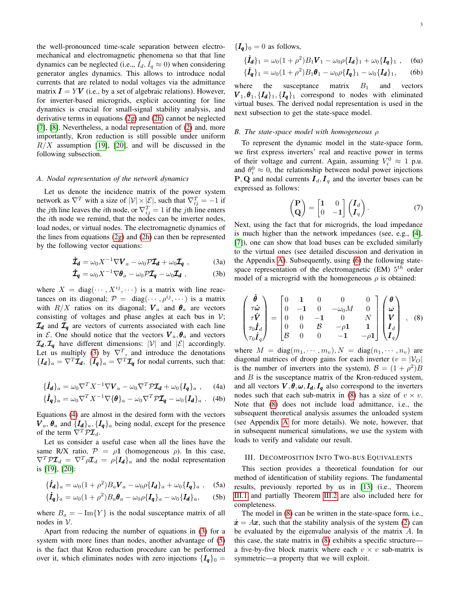the well-pronounced time-scale separation between electromechanical and electromagnetic phenomena so that that line dynamics can be neglected (i.e.,,  $\hat{I}_d$ ,  $\hat{I}_q \approx 0$ ) when considering generator angles dynamics. This allows to introduce nodal currents that are related to nodal voltages via the admittance matrix  $I = YV$  (i.e., by a set of algebraic relations). However, for inverter-based microgrids, explicit accounting for line dynamics is crucial for small-signal stability analysis, and derivative terms in equations [\(2g\)](#page-1-2) and [\(2h\)](#page-1-3) cannot be neglected [\[7\]](#page-9-9), [\[8\]](#page-9-5). Nevertheless, a nodal representation of [\(2\)](#page-1-1) and, more importantly, Kron reduction is still possible under uniform  $R/X$  assumption [\[19\]](#page-9-17), [\[20\]](#page-9-18), and will be discussed in the following subsection.

## *A. Nodal representation of the network dynamics*

Let us denote the incidence matrix of the power system network as  $\nabla^T$  with a size of  $|\mathcal{V}| \times |\mathcal{E}|$ , such that  $\nabla_{ij}^T = -1$  if the *j*th line leaves the *i*th node, or  $\nabla_{ij}^T = 1$  if the *j*th line enters the ith node we remind, that the nodes can be inverter nodes, load nodes, or virtual nodes. The electromagnetic dynamics of the lines from equations [\(2g\)](#page-1-2) and [\(2h\)](#page-1-3) can then be represented by the following vector equations:

<span id="page-2-1"></span>
$$
\dot{\mathbf{Z}}_{\mathbf{d}} = \omega_0 X^{-1} \nabla \mathbf{V}_a - \omega_0 \mathcal{P} \mathbf{Z}_d + \omega_0 \mathbf{Z}_q \ , \qquad (3a)
$$

$$
\dot{\mathcal{I}}_{\boldsymbol{q}} = \omega_0 X^{-1} \nabla \boldsymbol{\theta}_a - \omega_0 \mathcal{P} \mathcal{I}_{\boldsymbol{q}} - \omega_0 \mathcal{I}_{\boldsymbol{d}} , \qquad (3b)
$$

where  $X = diag(\dots, X^{ij}, \dots)$  is a matrix with line reactances on its diagonal;  $\mathcal{P} = \text{diag}(\cdots, \rho^{ij}, \cdots)$  is a matrix with  $R/X$  ratios on its diagonal;  $V_a$  and  $\theta_a$  are vectors consisting of voltages and phase angles at each bus in  $\mathcal{V}$ ;  $\mathcal{I}_d$  and  $\mathcal{I}_q$  are vectors of currents associated with each line in E. One should notice that the vectors  $V_a$ ,  $\theta_a$  and vectors  $\mathcal{I}_d, \mathcal{I}_q$  have different dimensions:  $|V|$  and  $|\mathcal{E}|$  accordingly. Let us multiply [\(3\)](#page-2-1) by  $\nabla^T$ , and introduce the denotations  ${I_d}_a = \nabla^T \mathcal{I}_d$ ,  ${I_q}_a = \nabla^T \mathcal{I}_q$  for nodal currents, such that:

<span id="page-2-2"></span>
$$
\{\dot{\mathbf{I}}_{\mathbf{d}}\}_a = \omega_0 \nabla^T X^{-1} \nabla \mathbf{V}_a - \omega_0 \nabla^T \mathcal{P} \mathbf{Z}_{\mathbf{d}} + \omega_0 \{\mathbf{I}_q\}_a \;, \tag{4a}
$$

$$
\{\dot{\boldsymbol{I}}_{\boldsymbol{q}}\}_a = \omega_0 \nabla^T X^{-1} \nabla \{\boldsymbol{\theta}\}_a - \omega_0 \nabla^T \mathcal{P} \boldsymbol{I}_{\boldsymbol{q}} - \omega_0 \{\boldsymbol{I}_{\boldsymbol{d}}\}_a . \quad (4b)
$$

Equations [\(4\)](#page-2-2) are almost in the desired form with the vectors  $V_a$ ,  $\theta_a$  and  $\{I_d\}_a$ ,  $\{I_q\}_a$  being nodal, except for the presence of the term  $\overline{\nabla^T P \mathcal{I}_d}$ .

Let us consider a useful case when all the lines have the same R/X ratio,  $P = \rho \mathbf{1}$  (homogeneous  $\rho$ ). In this case,  $\nabla^T \mathcal{P} \mathcal{I}_d = \nabla^T \rho \mathcal{I}_d = \rho \{I_d\}_a$  and the nodal representation is [\[19\]](#page-9-17), [\[20\]](#page-9-18):

<span id="page-2-3"></span>
$$
\{\dot{I}_{d}\}_a = \omega_0 (1 + \rho^2) B_a \mathbf{V}_a - \omega_0 \rho \{I_d\}_a + \omega_0 \{I_q\}_a , \quad (5a)
$$

$$
\{\dot{\mathbf{I}}_{\mathbf{q}}\}_a = \omega_0 (1 + \rho^2) B_a \boldsymbol{\theta}_a - \omega_0 \rho \{\mathbf{I}_{\mathbf{q}}\}_a - \omega_0 \{\mathbf{I}_{\mathbf{d}}\}_a, \qquad \text{(5b)}
$$

where  $B_a = -\text{Im}\{Y\}$  is the nodal susceptance matrix of all nodes in V.

Apart from reducing the number of equations in [\(3\)](#page-2-1) for a system with more lines than nodes, another advantage of [\(5\)](#page-2-3) is the fact that Kron reduction procedure can be performed over it, which eliminates nodes with zero injections  $\{I_q\}_0 =$ 

<span id="page-2-4"></span>
$$
\{\dot{I}_{d}\}_1 = \omega_0 (1 + \rho^2) B_1 V_1 - \omega_0 \rho \{I_d\}_1 + \omega_0 \{I_q\}_1 , \quad (6a)
$$

$$
\{\dot{I}_q\}_1 = \omega_0 (1 + \rho^2) B_1 \theta_1 - \omega_0 \rho \{I_q\}_1 - \omega_0 \{I_d\}_1, \qquad (6b)
$$

where the susceptance matrix  $B_1$  and vectors  $V_1$ ,  $\theta_1$ ,  $\{I_d\}_1$ ,  $\{I_q\}_1$  correspond to nodes with eliminated virtual buses. The derived nodal representation is used in the next subsection to get the state-space model.

## *B. The state-space model with homogeneous* ρ

To represent the dynamic model in the state-space form, we first express inverters' real and reactive power in terms of their voltage and current. Again, assuming  $V_i^0 \approx 1$  p.u. and  $\theta_i^0 \approx 0$ , the relationship between nodal power injections **P**, **Q** and nodal currents  $I_d$ ,  $I_q$  and the inverter buses can be expressed as follows:

$$
\begin{pmatrix} \mathbf{P} \\ \mathbf{Q} \end{pmatrix} = \begin{bmatrix} \mathbf{1} & 0 \\ 0 & -\mathbf{1} \end{bmatrix} \begin{pmatrix} \mathbf{I}_d \\ \mathbf{I}_q \end{pmatrix} . \tag{7}
$$

Next, using the fact that for microgrids, the load impedance is much higher than the network impedances (see, e.g., [\[4\]](#page-9-2), [\[7\]](#page-9-9)), one can show that load buses can be excluded similarly to the virtual ones (see detailed discussion and derivation in the Appendix [A\)](#page-9-19). Subsequently, using [\(6\)](#page-2-4) the following statespace representation of the electromagnetic (EM)  $5^{th}$  order model of a microgrid with the homogeneous  $\rho$  is obtained:

<span id="page-2-5"></span>
$$
\begin{pmatrix}\n\dot{\theta} \\
\tau \dot{\omega} \\
\tau \dot{V} \\
\tau_0 \dot{I}_d \\
\tau_0 \dot{I}_q\n\end{pmatrix} = \begin{bmatrix}\n0 & 1 & 0 & 0 & 0 \\
0 & -1 & 0 & -\omega_0 M & 0 \\
0 & 0 & -1 & 0 & N \\
0 & 0 & B & -\rho 1 & 1 \\
B & 0 & 0 & -1 & -\rho 1\n\end{bmatrix} \begin{pmatrix}\n\theta \\
\omega \\
V \\
I_d \\
I_q\n\end{pmatrix} ,
$$
\n(8)

where  $M = \text{diag}(m_1, \dots, m_v), N = \text{diag}(n_1, \dots, n_v)$  are diagonal matrices of droop gains for each inverter  $(v = |V_O|)$ is the number of inverters into the system),  $\mathcal{B} = (1 + \rho^2)B$ and  $B$  is the susceptance matrix of the Kron-reduced system, and all vectors  $V, \theta, \omega, I_d, I_q$  also correspond to the inverters nodes such that each sub-matrix in [\(8\)](#page-2-5) has a size of  $v \times v$ . Note that [\(8\)](#page-2-5) does not include load admittance, i.e., the subsequent theoretical analysis assumes the unloaded system (see Appendix [A](#page-9-19) for more details). We note, however, that in subsequent numerical simulations, we use the system with loads to verify and validate our result.

#### <span id="page-2-0"></span>III. DECOMPOSITION INTO TWO-BUS EQUIVALENTS

This section provides a theoretical foundation for our method of identification of stability regions. The fundamental results, previously reported by us in [\[13\]](#page-9-11) (i.e., Theorem [III.1](#page-3-0) and partially Theorem [III.2](#page-4-0) are also included here for completeness.

The model in [\(8\)](#page-2-5) can be written in the state-space form, i.e.,  $\dot{x} = Ax$ , such that the stability analysis of the system [\(2\)](#page-1-1) can be evaluated by the eigenvalue analysis of the matrix A. In this case, the state matrix in [\(8\)](#page-2-5) exhibits a specific structure a five-by-five block matrix where each  $v \times v$  sub-matrix is symmetric—a property that we will exploit.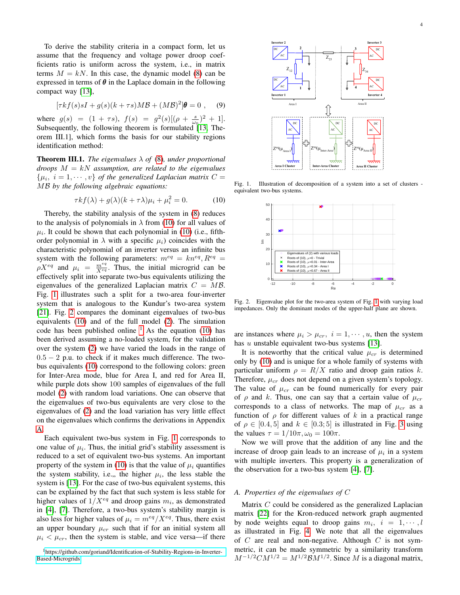To derive the stability criteria in a compact form, let us assume that the frequency and voltage power droop coefficients ratio is uniform across the system, i.e., in matrix terms  $M = kN$ . In this case, the dynamic model [\(8\)](#page-2-5) can be expressed in terms of  $\theta$  in the Laplace domain in the following compact way [\[13\]](#page-9-11),

$$
[\tau kf(s)sI + g(s)(k + \tau s)M\mathcal{B} + (M\mathcal{B})^2]\boldsymbol{\theta} = 0 , \quad (9)
$$

where  $g(s) = (1 + \tau s), f(s) = g^2(s)[(\rho + \frac{s}{\omega_0})^2 + 1].$ Subsequently, the following theorem is formulated  $13$ , Theorem III.1], which forms the basis for our stability regions identification method:

<span id="page-3-0"></span>**Theorem III.1.** *The eigenvalues*  $\lambda$  *of* [\(8\)](#page-2-5)*, under proportional droops* M = kN *assumption, are related to the eigenvalues*  $\{\mu_i, i = 1, \dots, v\}$  of the generalized Laplacian matrix  $C =$ MB *by the following algebraic equations:*

<span id="page-3-1"></span>
$$
\tau k f(\lambda) + g(\lambda)(k + \tau \lambda)\mu_i + \mu_i^2 = 0.
$$
 (10)

Thereby, the stability analysis of the system in [\(8\)](#page-2-5) reduces to the analysis of polynomials in  $\lambda$  from [\(10\)](#page-3-1) for all values of  $\mu_i$ . It could be shown that each polynomial in [\(10\)](#page-3-1) (i.e., fifthorder polynomial in  $\lambda$  with a specific  $\mu_i$ ) coincides with the characteristic polynomial of an inverter versus an infinite bus system with the following parameters:  $m^{eq} = kn^{eq}, R^{eq} =$  $\rho X^{eq}$  and  $\mu_i = \frac{m^{eq}}{X^{eq}}$ . Thus, the initial microgrid can be effectively split into separate two-bus equivalents utilizing the eigenvalues of the generalized Laplacian matrix  $C = MB$ . Fig. [1](#page-3-2) illustrates such a split for a two-area four-inverter system that is analogous to the Kundur's two-area system [\[21\]](#page-9-20). Fig. [2](#page-3-3) compares the dominant eigenvalues of two-bus equivalents [\(10\)](#page-3-1) and of the full model [\(2\)](#page-1-1). The simulation code has been published online  $<sup>1</sup>$  $<sup>1</sup>$  $<sup>1</sup>$  As the equation [\(10\)](#page-3-1) has</sup> been derived assuming a no-loaded system, for the validation over the system [\(2\)](#page-1-1) we have varied the loads in the range of  $0.5 - 2$  p.u. to check if it makes much difference. The twobus equivalents [\(10\)](#page-3-1) correspond to the following colors: green for Inter-Area mode, blue for Area I, and red for Area II, while purple dots show 100 samples of eigenvalues of the full model [\(2\)](#page-1-1) with random load variations. One can observe that the eigenvalues of two-bus equivalents are very close to the eigenvalues of [\(2\)](#page-1-1) and the load variation has very little effect on the eigenvalues which confirms the derivations in Appendix [A.](#page-9-19)

Each equivalent two-bus system in Fig. [1](#page-3-2) corresponds to one value of  $\mu_i$ . Thus, the initial grid's stability assessment is reduced to a set of equivalent two-bus systems. An important property of the system in [\(10\)](#page-3-1) is that the value of  $\mu_i$  quantifies the system stability, i.e.,, the higher  $\mu_i$ , the less stable the system is [\[13\]](#page-9-11). For the case of two-bus equivalent systems, this can be explained by the fact that such system is less stable for higher values of  $1/X^{eq}$  and droop gains  $m_i$ , as demonstrated in [\[4\]](#page-9-2), [\[7\]](#page-9-9). Therefore, a two-bus system's stability margin is also less for higher values of  $\mu_i = m^{eq}/X^{eq}$ . Thus, there exist an upper boundary  $\mu_{cr}$  such that if for an initial system all  $\mu_i < \mu_{cr}$ , then the system is stable, and vice versa—if there

<span id="page-3-4"></span>



Fig. 1. Illustration of decomposition of a system into a set of clusters equivalent two-bus systems.

<span id="page-3-2"></span>

<span id="page-3-3"></span>Fig. 2. Eigenvalue plot for the two-area system of Fig. [1](#page-3-2) with varying load impedances. Only the dominant modes of the upper-half plane are shown.

are instances where  $\mu_i > \mu_{cr}, i = 1, \dots, u$ , then the system has  $u$  unstable equivalent two-bus systems [\[13\]](#page-9-11).

It is noteworthy that the critical value  $\mu_{cr}$  is determined only by [\(10\)](#page-3-1) and is unique for a whole family of systems with particular uniform  $\rho = R/X$  ratio and droop gain ratios k. Therefore,  $\mu_{cr}$  does not depend on a given system's topology. The value of  $\mu_{cr}$  can be found numerically for every pair of  $\rho$  and k. Thus, one can say that a certain value of  $\mu_{cr}$ corresponds to a class of networks. The map of  $\mu_{cr}$  as a function of  $\rho$  for different values of k in a practical range of  $\rho \in [0.4, 5]$  and  $k \in [0.3, 5]$  is illustrated in Fig. [3](#page-4-1) using the values  $\tau = 1/10\pi$ ,  $\omega_0 = 100\pi$ .

Now we will prove that the addition of any line and the increase of droop gain leads to an increase of  $\mu_i$  in a system with multiple inverters. This property is a generalization of the observation for a two-bus system [\[4\]](#page-9-2), [\[7\]](#page-9-9).

# *A. Properties of the eigenvalues of* C

Matrix C could be considered as the generalized Laplacian matrix [\[22\]](#page-9-21) for the Kron-reduced network graph augmented by node weights equal to droop gains  $m_i$ ,  $i = 1, \dots, l$ as illustrated in Fig. [4.](#page-4-2) We note that all the eigenvalues of  $C$  are real and non-negative. Although  $C$  is not symmetric, it can be made symmetric by a similarity transform  $M^{-1/2}CM^{1/2} = M^{1/2} \mathcal{B}M^{1/2}$ . Since M is a diagonal matrix,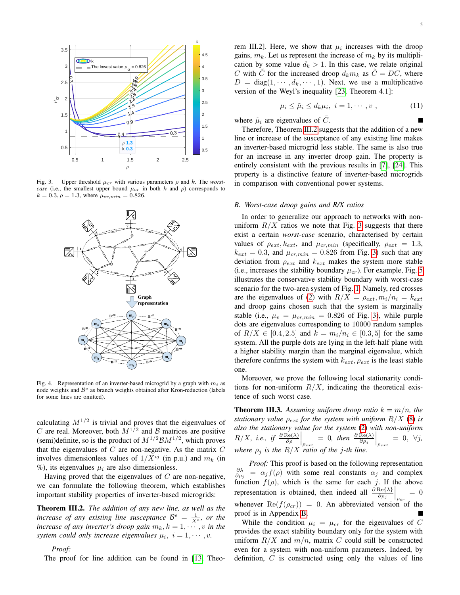

<span id="page-4-1"></span>Fig. 3. Upper threshold  $\mu_{cr}$  with various parameters  $\rho$  and k. The *worstcase* (i.e., the smallest upper bound  $\mu_{cr}$  in both k and  $\rho$ ) corresponds to  $k = 0.3, \rho = 1.3$ , where  $\mu_{cr,min} = 0.826$ .



<span id="page-4-2"></span>Fig. 4. Representation of an inverter-based microgrid by a graph with  $m_i$  as node weights and  $B^e$  as branch weights obtained after Kron-reduction (labels for some lines are omitted).

calculating  $M^{1/2}$  is trivial and proves that the eigenvalues of C are real. Moreover, both  $M^{1/2}$  and B matrices are positive (semi)definite, so is the product of  $M^{1/2} \mathcal{B} M^{1/2}$ , which proves that the eigenvalues of  $C$  are non-negative. As the matrix  $C$ involves dimensionless values of  $1/X^{ij}$  (in p.u.) and  $m_k$  (in  $\%$ ), its eigenvalues  $\mu_i$  are also dimensionless.

Having proved that the eigenvalues of  $C$  are non-negative, we can formulate the following theorem, which establishes important stability properties of inverter-based microgrids:

<span id="page-4-0"></span>Theorem III.2. *The addition of any new line, as well as the increase of any existing line susceptance*  $B^e = \frac{1}{X^e}$ , or the *increase of any inverter's droop gain*  $m_k$ ,  $k = 1, \dots, v$  *in the* system could only increase eigenvalues  $\mu_i$ ,  $i = 1, \dots, v$ .

#### *Proof:*

The proof for line addition can be found in [\[13,](#page-9-11) Theo-

rem III.2]. Here, we show that  $\mu_i$  increases with the droop gains,  $m_k$ . Let us represent the increase of  $m_k$  by its multiplication by some value  $d_k > 1$ . In this case, we relate original C with  $\tilde{C}$  for the increased droop  $d_k m_k$  as  $\tilde{C} = DC$ , where  $D = \text{diag}(1, \dots, d_k, \dots, 1)$ . Next, we use a multiplicative version of the Weyl's inequality [\[23,](#page-9-22) Theorem 4.1]:

$$
\mu_i \le \tilde{\mu}_i \le d_k \mu_i, \ i = 1, \cdots, v \ , \tag{11}
$$

where  $\tilde{\mu}_i$  are eigenvalues of  $\tilde{C}$ .

Therefore, Theorem [III.2](#page-4-0) suggests that the addition of a new line or increase of the susceptance of any existing line makes an inverter-based microgrid less stable. The same is also true for an increase in any inverter droop gain. The property is entirely consistent with the previous results in [\[7\]](#page-9-9), [\[24\]](#page-9-23). This property is a distinctive feature of inverter-based microgrids in comparison with conventional power systems.

#### <span id="page-4-3"></span>*B. Worst-case droop gains and R/X ratios*

In order to generalize our approach to networks with nonuniform  $R/X$  ratios we note that Fig. [3](#page-4-1) suggests that there exist a certain *worst-case* scenario, characterised by certain values of  $\rho_{ext}$ ,  $k_{ext}$ , and  $\mu_{cr,min}$  (specifically,  $\rho_{ext} = 1.3$ ,  $k_{ext} = 0.3$ , and  $\mu_{cr,min} = 0.826$  from Fig. [3\)](#page-4-1) such that any deviation from  $\rho_{ext}$  and  $k_{ext}$  makes the system more stable (i.e., increases the stability boundary  $\mu_{cr}$ ). For example, Fig. [5](#page-5-1) illustrates the conservative stability boundary with worst-case scenario for the two-area system of Fig. [1.](#page-3-2) Namely, red crosses are the eigenvalues of [\(2\)](#page-1-1) with  $R/X = \rho_{ext}, m_i/n_i = k_{ext}$ and droop gains chosen such that the system is marginally stable (i.e.,  $\mu_v = \mu_{cr,min} = 0.826$  of Fig. [3\)](#page-4-1), while purple dots are eigenvalues corresponding to 10000 random samples of  $R/X \in [0.4, 2.5]$  and  $k = m_i/n_i \in [0.3, 5]$  for the same system. All the purple dots are lying in the left-half plane with a higher stability margin than the marginal eigenvalue, which therefore confirms the system with  $k_{ext}$ ,  $\rho_{ext}$  is the least stable one.

Moreover, we prove the following local stationarity conditions for non-uniform  $R/X$ , indicating the theoretical existence of such worst case.

**Theorem III.3.** Assuming uniform droop ratio  $k = m/n$ , the *stationary value*  $\rho_{ext}$  *for the system with uniform R/X [\(8\)](#page-2-5) is also the stationary value for the system* [\(2\)](#page-1-1) *with non-uniform*  $R/X$ , *i.e.*, if  $\frac{\partial \text{Re}(\lambda)}{\partial \rho}\bigg|_{\rho_{ext}} = 0$ , then  $\frac{\partial \text{Re}(\lambda)}{\partial \rho_j}\bigg|_{\rho_{ext}} = 0$ ,  $\forall j$ , *where* ρ<sup>j</sup> *is the* R/X *ratio of the* j*-th line.*

*Proof:* This proof is based on the following representation  $\frac{\partial \lambda}{\partial \rho_j} = \alpha_j f(\rho)$  with some real constants  $\alpha_j$  and complex function  $f(\rho)$ , which is the same for each j. If the above representation is obtained, then indeed all  $\frac{\partial \text{Re}\{\lambda\}}{\partial \rho_j}$  $|_{\rho_{cr}}$  $= 0$ whenever  $\text{Re}(f(\rho_{cr})) = 0$ . An abbreviated version of the proof is in Appendix [B.](#page-10-0)

While the condition  $\mu_i = \mu_{cr}$  for the eigenvalues of C provides the exact stability boundary only for the system with uniform  $R/X$  and  $m/n$ , matrix C could still be constructed even for a system with non-uniform parameters. Indeed, by definition,  $C$  is constructed using only the values of line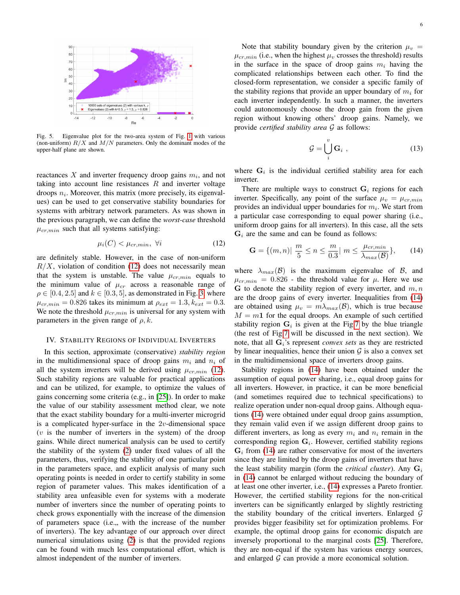

<span id="page-5-1"></span>Fig. 5. Eigenvalue plot for the two-area system of Fig. [1](#page-3-2) with various (non-uniform)  $R/X$  and  $M/N$  parameters. Only the dominant modes of the upper-half plane are shown.

reactances X and inverter frequency droop gains  $m_i$ , and not taking into account line resistances  $R$  and inverter voltage droops  $n<sub>i</sub>$ . Moreover, this matrix (more precisely, its eigenvalues) can be used to get conservative stability boundaries for systems with arbitrary network parameters. As was shown in the previous paragraph, we can define the *worst-case* threshold  $\mu_{cr,min}$  such that all systems satisfying:

<span id="page-5-2"></span>
$$
\mu_i(C) < \mu_{cr,min}, \ \forall i \tag{12}
$$

are definitely stable. However, in the case of non-uniform  $R/X$ , violation of condition [\(12\)](#page-5-2) does not necessarily mean that the system is unstable. The value  $\mu_{cr,min}$  equals to the minimum value of  $\mu_{cr}$  across a reasonable range of  $\rho \in [0.4, 2.5]$  and  $k \in [0.3, 5]$ , as demonstrated in Fig. [3,](#page-4-1) where  $\mu_{cr,min} = 0.826$  takes its minimum at  $\rho_{ext} = 1.3, k_{ext} = 0.3$ . We note the threshold  $\mu_{cr,min}$  is universal for any system with parameters in the given range of  $\rho$ , k.

# <span id="page-5-0"></span>IV. STABILITY REGIONS OF INDIVIDUAL INVERTERS

In this section, approximate (conservative) *stability region* in the multidimensional space of droop gains  $m_i$  and  $n_i$  of all the system inverters will be derived using  $\mu_{cr,min}$  [\(12\)](#page-5-2). Such stability regions are valuable for practical applications and can be utilized, for example, to optimize the values of gains concerning some criteria (e.g., in [\[25\]](#page-9-24)). In order to make the value of our stability assessment method clear, we note that the exact stability boundary for a multi-inverter microgrid is a complicated hyper-surface in the  $2v$ -dimensional space  $(v$  is the number of inverters in the system) of the droop gains. While direct numerical analysis can be used to certify the stability of the system [\(2\)](#page-1-1) under fixed values of all the parameters, thus, verifying the stability of one particular point in the parameters space, and explicit analysis of many such operating points is needed in order to certify stability in some region of parameter values. This makes identification of a stability area unfeasible even for systems with a moderate number of inverters since the number of operating points to check grows exponentially with the increase of the dimension of parameters space (i.e.,, with the increase of the number of inverters). The key advantage of our approach over direct numerical simulations using [\(2\)](#page-1-1) is that the provided regions can be found with much less computational effort, which is almost independent of the number of inverters.

Note that stability boundary given by the criterion  $\mu_v$  =  $\mu_{cr,min}$  (i.e., when the highest  $\mu_v$  crosses the threshold) results in the surface in the space of droop gains  $m_i$  having the complicated relationships between each other. To find the closed-form representation, we consider a specific family of the stability regions that provide an upper boundary of  $m_i$  for each inverter independently. In such a manner, the inverters could autonomously choose the droop gain from the given region without knowing others' droop gains. Namely, we provide *certified stability area* G as follows:

$$
\mathcal{G} = \bigcup_{i}^{v} \mathbf{G}_{i} , \qquad (13)
$$

where  $G_i$  is the individual certified stability area for each inverter.

There are multiple ways to construct  $G_i$  regions for each inverter. Specifically, any point of the surface  $\mu_v = \mu_{cr,min}$ provides an individual upper boundaries for  $m_i$ . We start from a particular case corresponding to equal power sharing (i.e., uniform droop gains for all inverters). In this case, all the sets  $G_i$  are the same and can be found as follows:

<span id="page-5-3"></span>
$$
\mathbf{G} = \{ (m, n) | \frac{m}{5} \le n \le \frac{m}{0.3} | m \le \frac{\mu_{cr,min}}{\lambda_{max}(\mathcal{B})} \}, \qquad (14)
$$

where  $\lambda_{max}(\mathcal{B})$  is the maximum eigenvalue of  $\mathcal{B}$ , and  $\mu_{cr,min} = 0.826$  - the threshold value for  $\mu$ . Here we use  $G$  to denote the stability region of every inverter, and  $m, n$ are the droop gains of every inverter. Inequalities from [\(14\)](#page-5-3) are obtained using  $\mu_v = m \lambda_{max}(\mathcal{B})$ , which is true because  $M = m1$  for the equal droops. An example of such certified stability region  $G_i$  is given at the Fig[.7](#page-7-0) by the blue triangle (the rest of Fig[.7](#page-7-0) will be discussed in the next section). We note, that all  $G_i$ 's represent *convex sets* as they are restricted by linear inequalities, hence their union  $G$  is also a convex set in the multidimensional space of inverters droop gains.

Stability regions in [\(14\)](#page-5-3) have been obtained under the assumption of equal power sharing, i.e., equal droop gains for all inverters. However, in practice, it can be more beneficial (and sometimes required due to technical specifications) to realize operation under non-equal droop gains. Although equations [\(14\)](#page-5-3) were obtained under equal droop gains assumption, they remain valid even if we assign different droop gains to different inverters, as long as every  $m_i$  and  $n_i$  remain in the corresponding region  $G_i$ . However, certified stability regions  $G_i$  from [\(14\)](#page-5-3) are rather conservative for most of the inverters since they are limited by the droop gains of inverters that have the least stability margin (form the *critical cluster*). Any  $G_i$ in [\(14\)](#page-5-3) cannot be enlarged without reducing the boundary of at least one other inverter, i.e., [\(14\)](#page-5-3) expresses a Pareto frontier. However, the certified stability regions for the non-critical inverters can be significantly enlarged by slightly restricting the stability boundary of the critical inverters. Enlarged  $G$ provides bigger feasibility set for optimization problems. For example, the optimal droop gains for economic dispatch are inversely proportional to the marginal costs [\[25\]](#page-9-24). Therefore, they are non-equal if the system has various energy sources, and enlarged  $G$  can provide a more economical solution.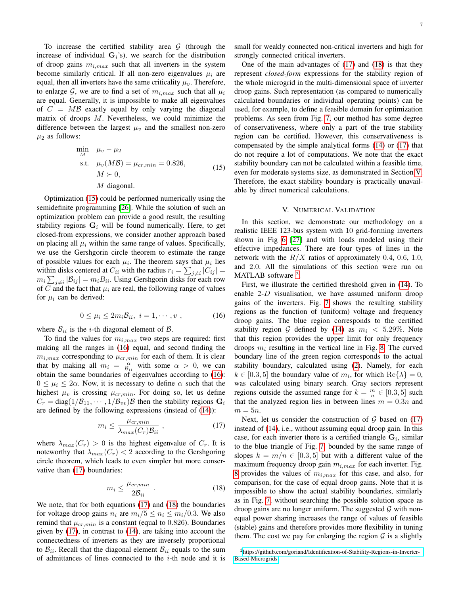To increase the certified stability area  $\mathcal G$  (through the increase of individual  $G_i$ 's), we search for the distribution of droop gains  $m_{i,max}$  such that all inverters in the system become similarly critical. If all non-zero eigenvalues  $\mu_i$  are equal, then all inverters have the same criticality  $\mu_v$ . Therefore, to enlarge G, we are to find a set of  $m_{i,max}$  such that all  $\mu_i$ are equal. Generally, it is impossible to make all eigenvalues of  $C = MB$  exactly equal by only varying the diagonal matrix of droops  $M$ . Nevertheless, we could minimize the difference between the largest  $\mu_v$  and the smallest non-zero  $\mu_2$  as follows:

<span id="page-6-0"></span>
$$
\min_{M} \mu_{v} - \mu_{2}
$$
\n
$$
\text{s.t.} \quad \mu_{v}(M\mathcal{B}) = \mu_{cr,min} = 0.826,
$$
\n
$$
M \succ 0,
$$
\n
$$
M \text{ diagonal.}
$$
\n(15)

Optimization [\(15\)](#page-6-0) could be performed numerically using the semidefinite programming [\[26\]](#page-9-25). While the solution of such an optimization problem can provide a good result, the resulting stability regions  $G_i$  will be found numerically. Here, to get closed-from expressions, we consider another approach based on placing all  $\mu_i$  within the same range of values. Specifically, we use the Gershgorin circle theorem to estimate the range of possible values for each  $\mu_i$ . The theorem says that  $\mu_i$  lies within disks centered at  $C_{ii}$  with the radius  $r_i = \sum_{j \neq i} |C_{ij}| =$  $m_i \sum_{j \neq i} |\mathcal{B}_{ij}| = m_i B_{ii}$ . Using Gershgorin disks for each row of C and the fact that  $\mu_i$  are real, the following range of values for  $\mu_i$  can be derived:

<span id="page-6-1"></span>
$$
0 \le \mu_i \le 2m_i \mathcal{B}_{ii}, \quad i = 1, \cdots, v \tag{16}
$$

where  $B_{ii}$  is the *i*-th diagonal element of  $B$ .

To find the values for  $m_{i,max}$  two steps are required: first making all the ranges in [\(16\)](#page-6-1) equal, and second finding the  $m_{i,max}$  corresponding to  $\mu_{cr,min}$  for each of them. It is clear that by making all  $m_i = \frac{\alpha}{\mathcal{B}_{ii}}$  with some  $\alpha > 0$ , we can obtain the same boundaries of eigenvalues according to [\(16\)](#page-6-1):  $0 \leq \mu_i \leq 2\alpha$ . Now, it is necessary to define  $\alpha$  such that the highest  $\mu_v$  is crossing  $\mu_{cr,min}$ . For doing so, let us define  $C_r = \text{diag}(1/\mathcal{B}_{11}, \cdots, 1/\mathcal{B}_{vv})\mathcal{B}$  then the stability regions  $\mathbf{G}_i$ are defined by the following expressions (instead of [\(14\)](#page-5-3)):

<span id="page-6-2"></span>
$$
m_i \le \frac{\mu_{cr,min}}{\lambda_{max}(C_r)\mathcal{B}_{ii}} \tag{17}
$$

where  $\lambda_{max}(C_r) > 0$  is the highest eigenvalue of  $C_r$ . It is noteworthy that  $\lambda_{max}(C_r) < 2$  according to the Gershgoring circle theorem, which leads to even simpler but more conservative than [\(17\)](#page-6-2) boundaries:

<span id="page-6-3"></span>
$$
m_i \le \frac{\mu_{cr,min}}{2\mathcal{B}_{ii}} \tag{18}
$$

We note, that for both equations [\(17\)](#page-6-2) and [\(18\)](#page-6-3) the boundaries for voltage droop gains  $n_i$  are  $m_i/5 \leq n_i \leq m_i/0.3$ . We also remind that  $\mu_{cr,min}$  is a constant (equal to 0.826). Boundaries given by [\(17\)](#page-6-2), in contrast to [\(14\)](#page-5-3), are taking into account the connectedness of inverters as they are inversely proportional to  $\mathcal{B}_{ii}$ . Recall that the diagonal element  $\mathcal{B}_{ii}$  equals to the sum of admittances of lines connected to the  $i$ -th node and it is small for weakly connected non-critical inverters and high for strongly connected critical inverters.

One of the main advantages of [\(17\)](#page-6-2) and [\(18\)](#page-6-3) is that they represent *closed-form* expressions for the stability region of the whole microgrid in the multi-dimensional space of inverter droop gains. Such representation (as compared to numerically calculated boundaries or individual operating points) can be used, for example, to define a feasible domain for optimization problems. As seen from Fig. [7,](#page-7-0) our method has some degree of conservativeness, where only a part of the true stability region can be certified. However, this conservativeness is compensated by the simple analytical forms [\(14\)](#page-5-3) or [\(17\)](#page-6-2) that do not require a lot of computations. We note that the exact stability boundary can not be calculated within a feasible time, even for moderate systems size, as demonstrated in Section [V.](#page-6-4) Therefore, the exact stability boundary is practically unavailable by direct numerical calculations.

## V. NUMERICAL VALIDATION

<span id="page-6-4"></span>In this section, we demonstrate our methodology on a realistic IEEE 123-bus system with 10 grid-forming inverters shown in Fig [6](#page-7-1) [\[27\]](#page-9-26) and with loads modeled using their effective impedances. There are four types of lines in the network with the  $R/X$  ratios of approximately 0.4, 0.6, 1.0, and 2.0. All the simulations of this section were run on MATLAB software <sup>[2](#page-6-5)</sup>.

First, we illustrate the certified threshold given in [\(14\)](#page-5-3). To enable  $2-D$  visualisation, we have assumed uniform droop gains of the inverters. Fig. [7](#page-7-0) shows the resulting stability regions as the function of (uniform) voltage and frequency droop gains. The blue region corresponds to the certified stability region G defined by [\(14\)](#page-5-3) as  $m_i < 5.29\%$ . Note that this region provides the upper limit for only frequency droops  $m_i$  resulting in the vertical line in Fig. [8.](#page-7-2) The curved boundary line of the green region corresponds to the actual stability boundary, calculated using [\(2\)](#page-1-1). Namely, for each  $k \in [0.3, 5]$  the boundary value of  $m_i$ , for which  $\text{Re} \{\lambda\} = 0$ , was calculated using binary search. Gray sectors represent regions outside the assumed range for  $k = \frac{m}{n} \in [0.3, 5]$  such that the analyzed region lies in between lines  $m = 0.3n$  and  $m = 5n$ .

Next, let us consider the construction of  $G$  based on [\(17\)](#page-6-2) instead of [\(14\)](#page-5-3), i.e., without assuming equal droop gain. In this case, for each inverter there is a certified triangle  $G_i$ , similar to the blue triangle of Fig. [7,](#page-7-0) bounded by the same range of slopes  $k = m/n \in [0.3, 5]$  but with a different value of the maximum frequency droop gain  $m_{i,max}$  for each inverter. Fig. [8](#page-7-2) provides the values of  $m_{i,max}$  for this case, and also, for comparison, for the case of equal droop gains. Note that it is impossible to show the actual stability boundaries, similarly as in Fig. [7,](#page-7-0) without searching the possible solution space as droop gains are no longer uniform. The suggested  $\mathcal G$  with nonequal power sharing increases the range of values of feasible (stable) gains and therefore provides more flexibility in tuning them. The cost we pay for enlarging the region  $G$  is a slightly

<span id="page-6-5"></span><sup>&</sup>lt;sup>2</sup>[https://github.com/goriand/Identification-of-Stability-Regions-in-Inverter-](https://github.com/goriand/Identification-of-Stability-Regions-in-Inverter-Based-Microgrids)[Based-Microgrids](https://github.com/goriand/Identification-of-Stability-Regions-in-Inverter-Based-Microgrids)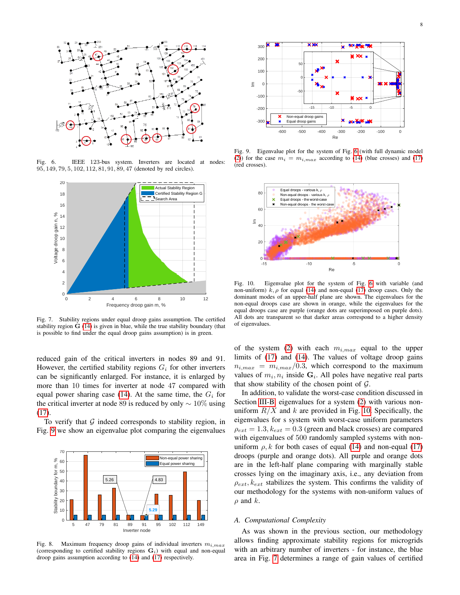

Fig. 6. IEEE 123-bus system. Inverters are located at nodes: 95, 149, 79, 5, 102, 112, 81, 91, 89, 47 (denoted by red circles).

<span id="page-7-1"></span>

<span id="page-7-0"></span>Fig. 7. Stability regions under equal droop gains assumption. The certified stability region  $G(14)$  $G(14)$  is given in blue, while the true stability boundary (that is possible to find under the equal droop gains assumption) is in green.

reduced gain of the critical inverters in nodes 89 and 91. However, the certified stability regions  $G_i$  for other inverters can be significantly enlarged. For instance, it is enlarged by more than 10 times for inverter at node 47 compared with equal power sharing case [\(14\)](#page-5-3). At the same time, the  $G_i$  for the critical inverter at node 89 is reduced by only  $\sim 10\%$  using [\(17\)](#page-6-2).

To verify that  $G$  indeed corresponds to stability region, in Fig. [9](#page-7-3) we show an eigenvalue plot comparing the eigenvalues



<span id="page-7-2"></span>Fig. 8. Maximum frequency droop gains of individual inverters  $m_{i,max}$ (corresponding to certified stability regions  $G_i$ ) with equal and non-equal droop gains assumption according to [\(14\)](#page-5-3) and [\(17\)](#page-6-2) respectively.



<span id="page-7-3"></span>Fig. 9. Eigenvalue plot for the system of Fig. [6](#page-7-1) (with full dynamic model [\(2\)](#page-1-1)) for the case  $m_i = m_{i,max}$  according to [\(14\)](#page-5-3) (blue crosses) and [\(17\)](#page-6-2) (red crosses).



<span id="page-7-4"></span>Fig. 10. Eigenvalue plot for the system of Fig. [6](#page-7-1) with variable (and non-uniform)  $\hat{k}, \rho$  for equal [\(14\)](#page-5-3) and non-equal [\(17\)](#page-6-2) droop cases. Only the dominant modes of an upper-half plane are shown. The eigenvalues for the non-equal droops case are shown in orange, while the eigenvalues for the equal droops case are purple (orange dots are superimposed on purple dots). All dots are transparent so that darker areas correspond to a higher density of eigenvalues.

of the system [\(2\)](#page-1-1) with each  $m_{i,max}$  equal to the upper limits of [\(17\)](#page-6-2) and [\(14\)](#page-5-3). The values of voltage droop gains  $n_{i,max} = m_{i,max}/0.3$ , which correspond to the maximum values of  $m_i, n_i$  inside  $\mathbf{G}_i$ . All poles have negative real parts that show stability of the chosen point of  $G$ .

In addition, to validate the worst-case condition discussed in Section [III-B,](#page-4-3) eigenvalues for a system [\(2\)](#page-1-1) with various nonuniform  $R/X$  and k are provided in Fig. [10.](#page-7-4) Specifically, the eigenvalues for s system with worst-case uniform parameters  $\rho_{ext} = 1.3, k_{ext} = 0.3$  (green and black crosses) are compared with eigenvalues of 500 randomly sampled systems with nonuniform  $\rho$ , k for both cases of equal [\(14\)](#page-5-3) and non-equal [\(17\)](#page-6-2) droops (purple and orange dots). All purple and orange dots are in the left-half plane comparing with marginally stable crosses lying on the imaginary axis, i.e., any deviation from  $\rho_{ext}$ ,  $k_{ext}$  stabilizes the system. This confirms the validity of our methodology for the systems with non-uniform values of  $\rho$  and  $k$ .

## *A. Computational Complexity*

As was shown in the previous section, our methodology allows finding approximate stability regions for microgrids with an arbitrary number of inverters - for instance, the blue area in Fig. [7](#page-7-0) determines a range of gain values of certified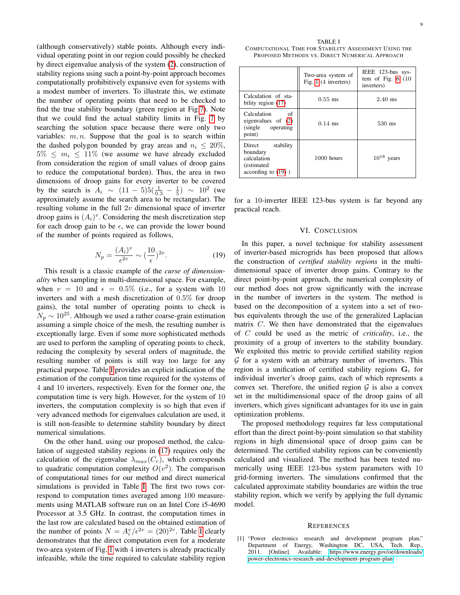(although conservatively) stable points. Although every individual operating point in our region could possibly be checked by direct eigenvalue analysis of the system [\(2\)](#page-1-1), construction of stability regions using such a point-by-point approach becomes computationally prohibitively expansive even for systems with a modest number of inverters. To illustrate this, we estimate the number of operating points that need to be checked to find the true stability boundary (green region at Fig[.7\)](#page-7-0). Note that we could find the actual stability limits in Fig. [7](#page-7-0) by searching the solution space because there were only two variables:  $m, n$ . Suppose that the goal is to search within the dashed polygon bounded by gray areas and  $n_i \leq 20\%$ ,  $5\% \leq m_i \leq 11\%$  (we assume we have already excluded from consideration the region of small values of droop gains to reduce the computational burden). Thus, the area in two dimensions of droop gains for every inverter to be covered by the search is  $A_i \sim (11 - 5)5(\frac{1}{0.3} - \frac{1}{5}) \sim 10^2$  (we approximately assume the search area to be rectangular). The resulting volume in the full  $2v$  dimensional space of inverter droop gains is  $(A_i)^v$ . Considering the mesh discretization step for each droop gain to be  $\epsilon$ , we can provide the lower bound of the number of points required as follows,

<span id="page-8-2"></span>
$$
N_p = \frac{(A_i)^v}{\epsilon^{2v}} \sim (\frac{10}{\epsilon})^{2v}.
$$
 (19)

This result is a classic example of the *curse of dimensionality* when sampling in multi-dimensional space. For example, when  $v = 10$  and  $\epsilon = 0.5\%$  (i.e., for a system with 10 inverters and with a mesh discretization of 0.5% for droop gains), the total number of operating points to check is  $N_p \sim 10^{25}$ . Although we used a rather coarse-grain estimation assuming a simple choice of the mesh, the resulting number is exceptionally large. Even if some more sophisticated methods are used to perform the sampling of operating points to check, reducing the complexity by several orders of magnitude, the resulting number of points is still way too large for any practical purpose. Table [I](#page-8-1) provides an explicit indication of the estimation of the computation time required for the systems of 4 and 10 inverters, respectively. Even for the former one, the computation time is very high. However, for the system of 10 inverters, the computation complexity is so high that even if very advanced methods for eigenvalues calculation are used, it is still non-feasible to determine stability boundary by direct numerical simulations.

On the other hand, using our proposed method, the calculation of suggested stability regions in [\(17\)](#page-6-2) requires only the calculation of the eigenvalue  $\lambda_{max}(C_r)$ , which corresponds to quadratic computation complexity  $O(v^2)$ . The comparison of computational times for our method and direct numerical simulations is provided in Table [I.](#page-8-1) The first two rows correspond to computation times averaged among 100 measurements using MATLAB software run on an Intel Core i5-4690 Processor at 3.5 GHz. In contrast, the computation times in the last row are calculated based on the obtained estimation of the number of points  $N = A_i^v / \epsilon^{2v} = (20)^{2v}$ . Table [I](#page-8-1) clearly demonstrates that the direct computation even for a moderate two-area system of Fig. [1](#page-3-2) with 4 inverters is already practically infeasible, while the time required to calculate stability region

<span id="page-8-1"></span>TABLE I COMPUTATIONAL TIME FOR STABILITY ASSESSMENT USING THE PROPOSED METHODS VS. DIRECT NUMERICAL APPROACH

|                                                                                        | Two-area system of<br>Fig. $1(4$ inverters) | IEEE 123-bus sys-<br>tem of Fig. $6(10)$<br>inverters) |
|----------------------------------------------------------------------------------------|---------------------------------------------|--------------------------------------------------------|
| Calculation of sta-<br>bility region (17)                                              | $0.55$ ms                                   | $2.40$ ms                                              |
| Calculation<br>of<br>eigenvalues of $(2)$<br>(single operating)<br>point)              | $0.14$ ms                                   | $530$ ms                                               |
| Direct<br>stability<br>boundary<br>calculation<br>(estimated)<br>according to $(19)$ ) | 1000 hours                                  | $10^{18}$ years                                        |

for a 10-inverter IEEE 123-bus system is far beyond any practical reach.

# VI. CONCLUSION

In this paper, a novel technique for stability assessment of inverter-based microgrids has been proposed that allows the construction of *certified stability regions* in the multidimensional space of inverter droop gains. Contrary to the direct point-by-point approach, the numerical complexity of our method does not grow significantly with the increase in the number of inverters in the system. The method is based on the decomposition of a system into a set of twobus equivalents through the use of the generalized Laplacian matrix  $C$ . We then have demonstrated that the eigenvalues of C could be used as the metric of *criticality*, i.e., the proximity of a group of inverters to the stability boundary. We exploited this metric to provide certified stability region  $G$  for a system with an arbitrary number of inverters. This region is a unification of certified stability regions  $G_i$  for individual inverter's droop gains, each of which represents a convex set. Therefore, the unified region  $G$  is also a convex set in the multidimensional space of the droop gains of all inverters, which gives significant advantages for its use in gain optimization problems.

The proposed methodology requires far less computational effort than the direct point-by-point simulation so that stability regions in high dimensional space of droop gains can be determined. The certified stability regions can be conveniently calculated and visualized. The method has been tested numerically using IEEE 123-bus system parameters with 10 grid-forming inverters. The simulations confirmed that the calculated approximate stability boundaries are within the true stability region, which we verify by applying the full dynamic model.

#### **REFERENCES**

<span id="page-8-0"></span>[1] "Power electronics research and development program plan," Department of Energy, Washington DC, USA, Tech. 2011. [Online]. Available: [https://www.energy.gov/oe/downloads/](https://www.energy.gov/oe/downloads/power-electronics-research-and-development-program-plan) [power-electronics-research-and-development-program-plan](https://www.energy.gov/oe/downloads/power-electronics-research-and-development-program-plan)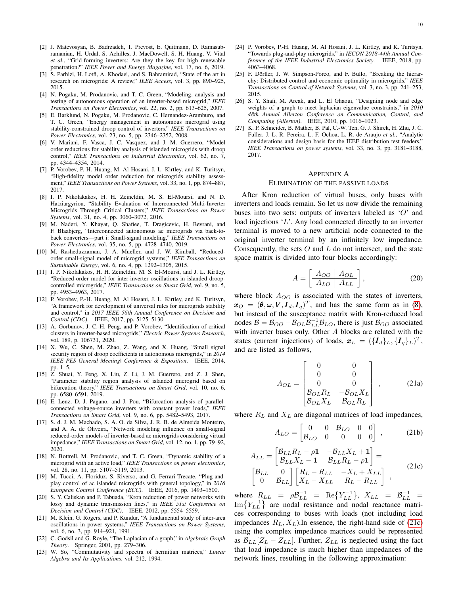- <span id="page-9-0"></span>[2] J. Matevosyan, B. Badrzadeh, T. Prevost, E. Quitmann, D. Ramasubramanian, H. Urdal, S. Achilles, J. MacDowell, S. H. Huang, V. Vital *et al.*, "Grid-forming inverters: Are they the key for high renewable penetration?" *IEEE Power and Energy Magazine*, vol. 17, no. 6, 2019.
- <span id="page-9-1"></span>[3] S. Parhizi, H. Lotfi, A. Khodaei, and S. Bahramirad, "State of the art in research on microgrids: A review," *IEEE Access*, vol. 3, pp. 890–925, 2015.
- <span id="page-9-2"></span>[4] N. Pogaku, M. Prodanovic, and T. C. Green, "Modeling, analysis and testing of autonomous operation of an inverter-based microgrid," *IEEE Transactions on Power Electronics*, vol. 22, no. 2, pp. 613–625, 2007.
- <span id="page-9-3"></span>[5] E. Barklund, N. Pogaku, M. Prodanovic, C. Hernandez-Aramburo, and T. C. Green, "Energy management in autonomous microgrid using stability-constrained droop control of inverters," *IEEE Transactions on Power Electronics*, vol. 23, no. 5, pp. 2346–2352, 2008.
- <span id="page-9-4"></span>[6] V. Mariani, F. Vasca, J. C. Vasquez, and J. M. Guerrero, "Model order reductions for stability analysis of islanded microgrids with droop control," *IEEE Transactions on Industrial Electronics*, vol. 62, no. 7, pp. 4344–4354, 2014.
- <span id="page-9-9"></span>[7] P. Vorobev, P.-H. Huang, M. Al Hosani, J. L. Kirtley, and K. Turitsyn, "High-fidelity model order reduction for microgrids stability assessment," *IEEE Transactions on Power Systems*, vol. 33, no. 1, pp. 874–887, 2017.
- <span id="page-9-5"></span>[8] I. P. Nikolakakos, H. H. Zeineldin, M. S. El-Moursi, and N. D. Hatziargyriou, "Stability Evaluation of Interconnected Multi-Inverter Microgrids Through Critical Clusters," *IEEE Transactions on Power Systems*, vol. 31, no. 4, pp. 3060–3072, 2016.
- <span id="page-9-6"></span>[9] M. Naderi, Y. Khayat, Q. Shafiee, T. Dragicevic, H. Bevrani, and F. Blaabjerg, "Interconnected autonomous ac microgrids via back-toback converters—part i: Small-signal modeling," *IEEE Transactions on Power Electronics*, vol. 35, no. 5, pp. 4728–4740, 2019.
- <span id="page-9-7"></span>[10] M. Rasheduzzaman, J. A. Mueller, and J. W. Kimball, "Reducedorder small-signal model of microgrid systems," *IEEE Transactions on Sustainable Energy*, vol. 6, no. 4, pp. 1292–1305, 2015.
- <span id="page-9-8"></span>[11] I. P. Nikolakakos, H. H. Zeineldin, M. S. El-Moursi, and J. L. Kirtley, "Reduced-order model for inter-inverter oscillations in islanded droopcontrolled microgrids," *IEEE Transactions on Smart Grid*, vol. 9, no. 5, pp. 4953–4963, 2017.
- <span id="page-9-10"></span>[12] P. Vorobev, P.-H. Huang, M. Al Hosani, J. L. Kirtley, and K. Turitsyn, "A framework for development of universal rules for microgrids stability and control," in *2017 IEEE 56th Annual Conference on Decision and Control (CDC)*. IEEE, 2017, pp. 5125–5130.
- <span id="page-9-11"></span>[13] A. Gorbunov, J. C.-H. Peng, and P. Vorobev, "Identification of critical clusters in inverter-based microgrids," *Electric Power Systems Research*, vol. 189, p. 106731, 2020.
- <span id="page-9-12"></span>[14] X. Wu, C. Shen, M. Zhao, Z. Wang, and X. Huang, "Small signal security region of droop coefficients in autonomous microgrids," in *2014 IEEE PES General Meeting| Conference & Exposition*. IEEE, 2014, pp. 1–5.
- <span id="page-9-13"></span>[15] Z. Shuai, Y. Peng, X. Liu, Z. Li, J. M. Guerrero, and Z. J. Shen, "Parameter stability region analysis of islanded microgrid based on bifurcation theory," *IEEE Transactions on Smart Grid*, vol. 10, no. 6, pp. 6580–6591, 2019.
- <span id="page-9-14"></span>[16] E. Lenz, D. J. Pagano, and J. Pou, "Bifurcation analysis of parallelconnected voltage-source inverters with constant power loads," *Transactions on Smart Grid*, vol. 9, no. 6, pp. 5482–5493, 2017.
- <span id="page-9-15"></span>[17] S. d. J. M. Machado, S. A. O. da Silva, J. R. B. de Almeida Monteiro, and A. A. de Oliveira, "Network modeling influence on small-signal reduced-order models of inverter-based ac microgrids considering virtual impedance," *IEEE Transactions on Smart Grid*, vol. 12, no. 1, pp. 79–92, 2020.
- <span id="page-9-16"></span>[18] N. Bottrell, M. Prodanovic, and T. C. Green, "Dynamic stability of a microgrid with an active load," *IEEE Transactions on power electronics*, vol. 28, no. 11, pp. 5107–5119, 2013.
- <span id="page-9-17"></span>[19] M. Tucci, A. Floriduz, S. Riverso, and G. Ferrari-Trecate, "Plug-andplay control of ac islanded microgrids with general topology," in *2016 European Control Conference (ECC)*. IEEE, 2016, pp. 1493–1500.
- <span id="page-9-18"></span>[20] S. Y. Caliskan and P. Tabuada, "Kron reduction of power networks with lossy and dynamic transmission lines," in *IEEE 51st Conference on Decision and Control (CDC)*. IEEE, 2012, pp. 5554–5559.
- <span id="page-9-20"></span>[21] M. Klein, G. Rogers, and P. Kundur, "A fundamental study of inter-area oscillations in power systems," *IEEE Transactions on Power Systems*, vol. 6, no. 3, pp. 914–921, 1991.
- <span id="page-9-21"></span>[22] C. Godsil and G. Royle, "The Laplacian of a graph," in *Algebraic Graph Theory*. Springer, 2001, pp. 279–306.
- <span id="page-9-22"></span>[23] W. So, "Commutativity and spectra of hermitian matrices," *Linear Algebra and Its Applications*, vol. 212, 1994.
- <span id="page-9-23"></span>[24] P. Vorobev, P.-H. Huang, M. Al Hosani, J. L. Kirtley, and K. Turitsyn, "Towards plug-and-play microgrids," in *IECON 2018-44th Annual Conference of the IEEE Industrial Electronics Society*. IEEE, 2018, pp. 4063–4068.
- <span id="page-9-24"></span>[25] F. Dörfler, J. W. Simpson-Porco, and F. Bullo, "Breaking the hierarchy: Distributed control and economic optimality in microgrids," *IEEE Transactions on Control of Network Systems*, vol. 3, no. 3, pp. 241–253, 2015.
- <span id="page-9-25"></span>[26] S. Y. Shafi, M. Arcak, and L. El Ghaoui, "Designing node and edge weights of a graph to meet laplacian eigenvalue constraints," in *2010 48th Annual Allerton Conference on Communication, Control, and Computing (Allerton)*. IEEE, 2010, pp. 1016–1023.
- <span id="page-9-26"></span>[27] K. P. Schneider, B. Mather, B. Pal, C.-W. Ten, G. J. Shirek, H. Zhu, J. C. Fuller, J. L. R. Pereira, L. F. Ochoa, L. R. de Araujo *et al.*, "Analytic considerations and design basis for the IEEE distribution test feeders," *IEEE Transactions on power systems*, vol. 33, no. 3, pp. 3181–3188, 2017.

# <span id="page-9-19"></span>APPENDIX A

#### ELIMINATION OF THE PASSIVE LOADS

After Kron reduction of virtual buses, only buses with inverters and loads remain. So let us now divide the remaining buses into two sets: outputs of inverters labeled as 'O' and load injections 'L'. Any load connected directly to an inverter terminal is moved to a new artificial node connected to the original inverter terminal by an infinitely low impedance. Consequently, the sets  $O$  and  $L$  do not intersect, and the state space matrix is divided into four blocks accordingly:

$$
A = \left[\begin{array}{c|c} A_{OO} & A_{OL} \\ \hline A_{LO} & A_{LL} \end{array}\right],
$$
 (20)

where block  $A_{OO}$  is associated with the states of inverters,  $x_O = (\theta, \omega, V, I_d, I_q)^T$ , and has the same form as in [\(8\)](#page-2-5), but instead of the susceptance matrix with Kron-reduced load nodes  $B = B_{OO} - B_{OL} \overline{B}_{LL}^{-1} B_{LO}$ , there is just  $B_{OO}$  associated with inverter buses only. Other A blocks are related with the states (current injections) of loads,  $\mathbf{x}_L = (\{\mathbf{I}_d\}_L, \{\mathbf{I}_q\}_L)^T$ , and are listed as follows,

$$
A_{OL} = \begin{bmatrix} 0 & 0 \\ 0 & 0 \\ 0 & 0 \\ B_{OL}R_L & -B_{OL}X_L \\ B_{OL}X_L & B_{OL}R_L \end{bmatrix},
$$
 (21a)

where  $R_L$  and  $X_L$  are diagonal matrices of load impedances,

$$
A_{LO} = \begin{bmatrix} 0 & 0 & B_{LO} & 0 & 0 \\ B_{LO} & 0 & 0 & 0 & 0 \end{bmatrix} , \qquad (21b)
$$

<span id="page-9-27"></span>
$$
A_{LL} = \begin{bmatrix} B_{LL}R_L - \rho \mathbf{1} & -B_{LL}X_L + \mathbf{1} \\ B_{LL}X_L - \mathbf{1} & B_{LL}R_L - \rho \mathbf{1} \end{bmatrix} =
$$
  
\n
$$
\begin{bmatrix} B_{LL} & 0 \\ 0 & B_{LL} \end{bmatrix} \begin{bmatrix} R_L - R_{LL} & -X_L + X_{LL} \\ X_L - X_{LL} & R_L - R_{LL} \end{bmatrix},
$$
 (21c)

where  $R_{LL} = \rho \mathcal{B}_{LL}^{-1} = \text{Re}\left\{Y_{LL}^{-1}\right\}, X_{LL} = \mathcal{B}_{LL}^{-1} =$  $\text{Im}\left\{Y_{LL}^{-1}\right\}$  are nodal resistance and nodal reactance matrices corresponding to buses with loads (not including load impedances  $R_L, X_L$ ). In essence, the right-hand side of [\(21c\)](#page-9-27) using the complex impedance matrices could be represented as  $\mathcal{B}_{LL}[Z_L - Z_{LL}]$ . Further,  $Z_{LL}$  is neglected using the fact that load impedance is much higher than impedances of the network lines, resulting in the following approximation: